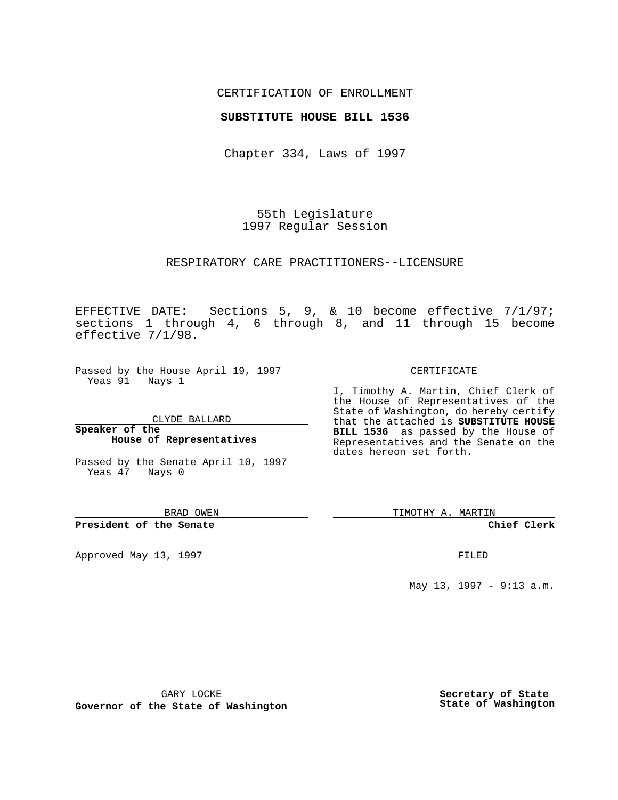## CERTIFICATION OF ENROLLMENT

## **SUBSTITUTE HOUSE BILL 1536**

Chapter 334, Laws of 1997

55th Legislature 1997 Regular Session

### RESPIRATORY CARE PRACTITIONERS--LICENSURE

EFFECTIVE DATE: Sections 5, 9, & 10 become effective 7/1/97; sections 1 through 4, 6 through 8, and 11 through 15 become effective 7/1/98.

Passed by the House April 19, 1997 Yeas 91 Nays 1

CLYDE BALLARD

## **Speaker of the House of Representatives**

Passed by the Senate April 10, 1997 Yeas 47 Nays 0

#### BRAD OWEN

### **President of the Senate**

Approved May 13, 1997 **FILED** 

### CERTIFICATE

I, Timothy A. Martin, Chief Clerk of the House of Representatives of the State of Washington, do hereby certify that the attached is **SUBSTITUTE HOUSE BILL 1536** as passed by the House of Representatives and the Senate on the dates hereon set forth.

TIMOTHY A. MARTIN

## **Chief Clerk**

May 13, 1997 - 9:13 a.m.

GARY LOCKE

**Governor of the State of Washington**

**Secretary of State State of Washington**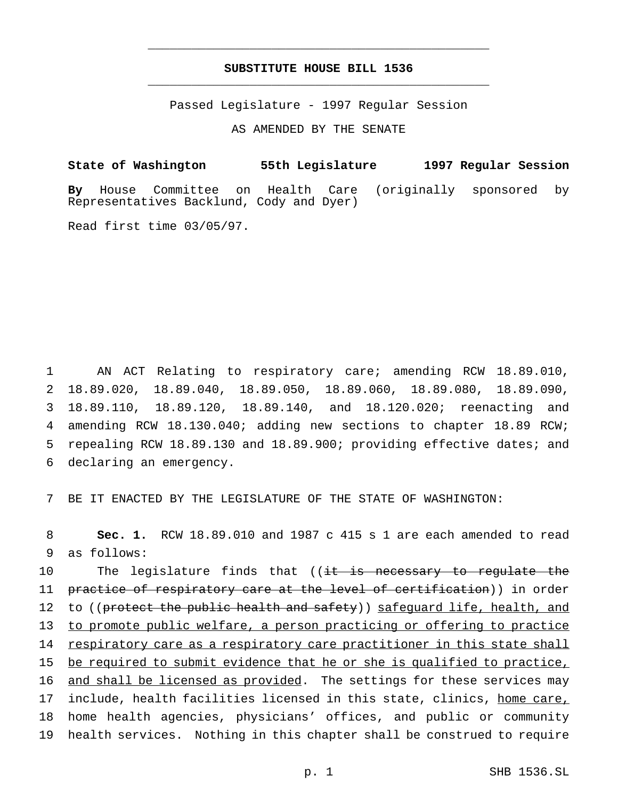# **SUBSTITUTE HOUSE BILL 1536** \_\_\_\_\_\_\_\_\_\_\_\_\_\_\_\_\_\_\_\_\_\_\_\_\_\_\_\_\_\_\_\_\_\_\_\_\_\_\_\_\_\_\_\_\_\_\_

\_\_\_\_\_\_\_\_\_\_\_\_\_\_\_\_\_\_\_\_\_\_\_\_\_\_\_\_\_\_\_\_\_\_\_\_\_\_\_\_\_\_\_\_\_\_\_

Passed Legislature - 1997 Regular Session

AS AMENDED BY THE SENATE

**State of Washington 55th Legislature 1997 Regular Session By** House Committee on Health Care (originally sponsored by Representatives Backlund, Cody and Dyer)

Read first time 03/05/97.

 AN ACT Relating to respiratory care; amending RCW 18.89.010, 18.89.020, 18.89.040, 18.89.050, 18.89.060, 18.89.080, 18.89.090, 18.89.110, 18.89.120, 18.89.140, and 18.120.020; reenacting and amending RCW 18.130.040; adding new sections to chapter 18.89 RCW; repealing RCW 18.89.130 and 18.89.900; providing effective dates; and declaring an emergency.

7 BE IT ENACTED BY THE LEGISLATURE OF THE STATE OF WASHINGTON:

8 **Sec. 1.** RCW 18.89.010 and 1987 c 415 s 1 are each amended to read 9 as follows:

10 The legislature finds that ((it is necessary to regulate the 11 practice of respiratory care at the level of certification)) in order 12 to ((protect the public health and safety)) safequard life, health, and 13 to promote public welfare, a person practicing or offering to practice 14 respiratory care as a respiratory care practitioner in this state shall 15 be required to submit evidence that he or she is qualified to practice, 16 and shall be licensed as provided. The settings for these services may 17 include, health facilities licensed in this state, clinics, home care, 18 home health agencies, physicians' offices, and public or community 19 health services. Nothing in this chapter shall be construed to require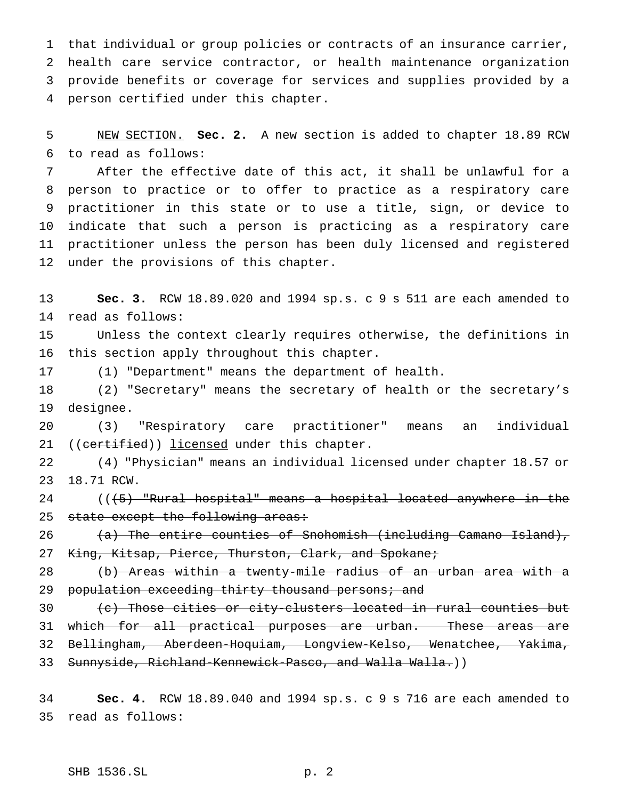that individual or group policies or contracts of an insurance carrier, health care service contractor, or health maintenance organization provide benefits or coverage for services and supplies provided by a person certified under this chapter.

 NEW SECTION. **Sec. 2.** A new section is added to chapter 18.89 RCW to read as follows:

 After the effective date of this act, it shall be unlawful for a person to practice or to offer to practice as a respiratory care practitioner in this state or to use a title, sign, or device to indicate that such a person is practicing as a respiratory care practitioner unless the person has been duly licensed and registered under the provisions of this chapter.

 **Sec. 3.** RCW 18.89.020 and 1994 sp.s. c 9 s 511 are each amended to read as follows:

 Unless the context clearly requires otherwise, the definitions in this section apply throughout this chapter.

(1) "Department" means the department of health.

 (2) "Secretary" means the secretary of health or the secretary's designee.

 (3) "Respiratory care practitioner" means an individual 21 ((certified)) licensed under this chapter.

 (4) "Physician" means an individual licensed under chapter 18.57 or 18.71 RCW.

24 (((5) "Rural hospital" means a hospital located anywhere in the 25 state except the following areas:

26 (a) The entire counties of Snohomish (including Camano Island), 27 King, Kitsap, Pierce, Thurston, Clark, and Spokane;

 (b) Areas within a twenty-mile radius of an urban area with a 29 population exceeding thirty thousand persons; and

30 (c) Those cities or city-clusters located in rural counties but 31 which for all practical purposes are urban. These areas are Bellingham, Aberdeen-Hoquiam, Longview-Kelso, Wenatchee, Yakima, 33 Sunnyside, Richland-Kennewick-Pasco, and Walla Walla.))

 **Sec. 4.** RCW 18.89.040 and 1994 sp.s. c 9 s 716 are each amended to read as follows: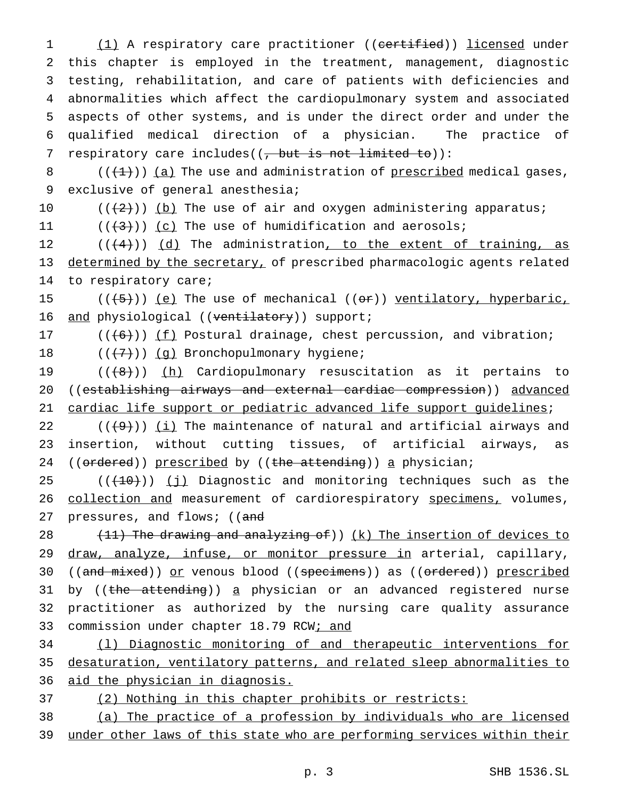1 (1) A respiratory care practitioner ((certified)) licensed under this chapter is employed in the treatment, management, diagnostic testing, rehabilitation, and care of patients with deficiencies and abnormalities which affect the cardiopulmonary system and associated aspects of other systems, and is under the direct order and under the qualified medical direction of a physician. The practice of 7 respiratory care includes( $($ , but is not limited to)):

8  $((+1))$  (a) The use and administration of prescribed medical gases, 9 exclusive of general anesthesia;

10  $((+2))$  (b) The use of air and oxygen administering apparatus;

11  $((\{3\})$   $(c)$  The use of humidification and aerosols;

12  $((+4))$   $(d)$  The administration, to the extent of training, as 13 determined by the secretary, of prescribed pharmacologic agents related 14 to respiratory care;

15  $((+5))$  (e) The use of mechanical (( $e$ r)) ventilatory, hyperbaric, 16 and physiological ((ventilatory)) support;

17  $((+6))$  ( $\underline{f}$ ) Postural drainage, chest percussion, and vibration;

18  $((+7))$  (g) Bronchopulmonary hygiene;

19 (((8))) (h) Cardiopulmonary resuscitation as it pertains to 20 ((establishing airways and external cardiac compression)) advanced 21 cardiac life support or pediatric advanced life support guidelines;

22  $((+9))$  (i) The maintenance of natural and artificial airways and 23 insertion, without cutting tissues, of artificial airways, as 24 ((ordered)) prescribed by ((the attending)) a physician;

 $25$  (( $(10)$ )) (j) Diagnostic and monitoring techniques such as the 26 collection and measurement of cardiorespiratory specimens, volumes, 27 pressures, and flows; ((and

28 (11) The drawing and analyzing of)) (k) The insertion of devices to 29 draw, analyze, infuse, or monitor pressure in arterial, capillary, 30 ((and mixed)) or venous blood ((specimens)) as ((ordered)) prescribed 31 by ((the attending)) a physician or an advanced registered nurse 32 practitioner as authorized by the nursing care quality assurance 33 commission under chapter 18.79 RCW; and

34 (l) Diagnostic monitoring of and therapeutic interventions for 35 desaturation, ventilatory patterns, and related sleep abnormalities to 36 aid the physician in diagnosis.

37 (2) Nothing in this chapter prohibits or restricts:

38 (a) The practice of a profession by individuals who are licensed 39 under other laws of this state who are performing services within their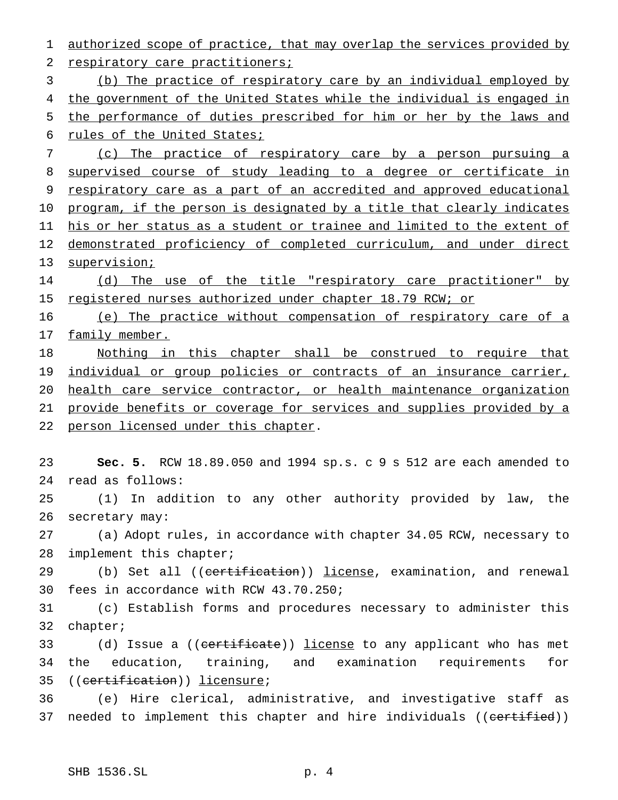authorized scope of practice, that may overlap the services provided by 2 respiratory care practitioners; (b) The practice of respiratory care by an individual employed by the government of the United States while the individual is engaged in the performance of duties prescribed for him or her by the laws and 6 rules of the United States; (c) The practice of respiratory care by a person pursuing a supervised course of study leading to a degree or certificate in respiratory care as a part of an accredited and approved educational 10 program, if the person is designated by a title that clearly indicates his or her status as a student or trainee and limited to the extent of demonstrated proficiency of completed curriculum, and under direct 13 supervision; 14 (d) The use of the title "respiratory care practitioner" by registered nurses authorized under chapter 18.79 RCW; or 16 (e) The practice without compensation of respiratory care of a 17 family member. Nothing in this chapter shall be construed to require that 19 individual or group policies or contracts of an insurance carrier, health care service contractor, or health maintenance organization provide benefits or coverage for services and supplies provided by a 22 person licensed under this chapter. **Sec. 5.** RCW 18.89.050 and 1994 sp.s. c 9 s 512 are each amended to read as follows: (1) In addition to any other authority provided by law, the secretary may: (a) Adopt rules, in accordance with chapter 34.05 RCW, necessary to 28 implement this chapter; 29 (b) Set all ((certification)) license, examination, and renewal fees in accordance with RCW 43.70.250; (c) Establish forms and procedures necessary to administer this chapter; 33 (d) Issue a ((certificate)) license to any applicant who has met the education, training, and examination requirements for ((certification)) licensure; (e) Hire clerical, administrative, and investigative staff as

37 needed to implement this chapter and hire individuals ((eertified))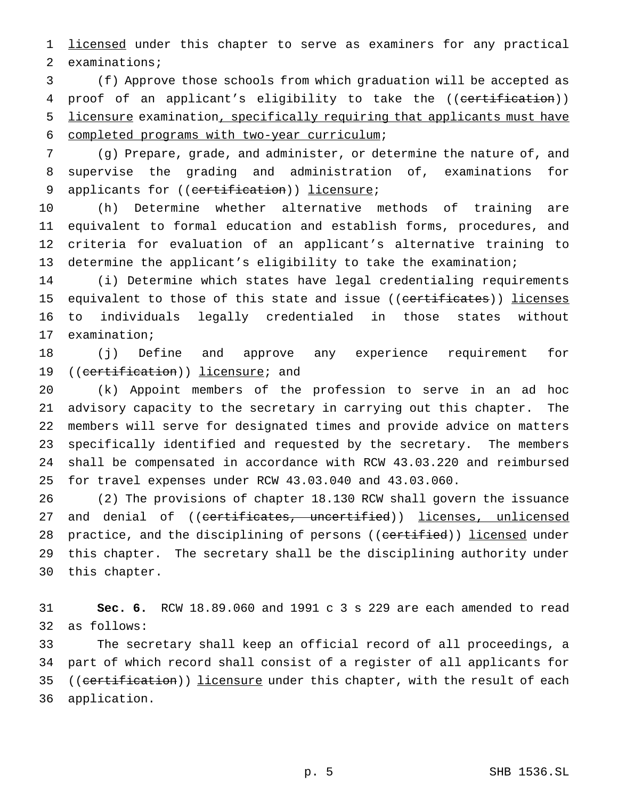1 licensed under this chapter to serve as examiners for any practical examinations;

 (f) Approve those schools from which graduation will be accepted as 4 proof of an applicant's eligibility to take the ((certification)) licensure examination, specifically requiring that applicants must have completed programs with two-year curriculum;

 (g) Prepare, grade, and administer, or determine the nature of, and supervise the grading and administration of, examinations for 9 applicants for ((certification)) licensure;

 (h) Determine whether alternative methods of training are equivalent to formal education and establish forms, procedures, and criteria for evaluation of an applicant's alternative training to determine the applicant's eligibility to take the examination;

 (i) Determine which states have legal credentialing requirements 15 equivalent to those of this state and issue ((certificates)) licenses to individuals legally credentialed in those states without examination;

 (j) Define and approve any experience requirement for 19 ((certification)) licensure; and

 (k) Appoint members of the profession to serve in an ad hoc advisory capacity to the secretary in carrying out this chapter. The members will serve for designated times and provide advice on matters specifically identified and requested by the secretary. The members shall be compensated in accordance with RCW 43.03.220 and reimbursed for travel expenses under RCW 43.03.040 and 43.03.060.

 (2) The provisions of chapter 18.130 RCW shall govern the issuance 27 and denial of ((certificates, uncertified)) licenses, unlicensed 28 practice, and the disciplining of persons ((certified)) licensed under this chapter. The secretary shall be the disciplining authority under this chapter.

 **Sec. 6.** RCW 18.89.060 and 1991 c 3 s 229 are each amended to read as follows:

 The secretary shall keep an official record of all proceedings, a part of which record shall consist of a register of all applicants for 35 ((certification)) licensure under this chapter, with the result of each application.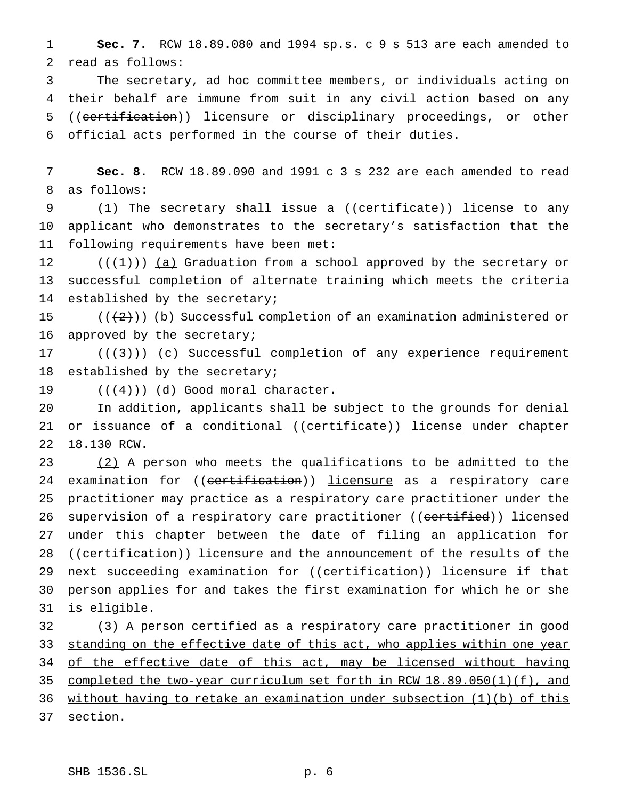**Sec. 7.** RCW 18.89.080 and 1994 sp.s. c 9 s 513 are each amended to read as follows:

 The secretary, ad hoc committee members, or individuals acting on their behalf are immune from suit in any civil action based on any 5 ((certification)) licensure or disciplinary proceedings, or other official acts performed in the course of their duties.

 **Sec. 8.** RCW 18.89.090 and 1991 c 3 s 232 are each amended to read as follows:

9 (1) The secretary shall issue a ((<del>certificate</del>)) <u>license</u> to any applicant who demonstrates to the secretary's satisfaction that the following requirements have been met:

12  $((+1))$   $(a)$  Graduation from a school approved by the secretary or successful completion of alternate training which meets the criteria established by the secretary;

 $((+2))$  (b) Successful completion of an examination administered or approved by the secretary;

 $((+3))$  (c) Successful completion of any experience requirement established by the secretary;

19  $((\frac{4}{4}))$   $(d)$  Good moral character.

 In addition, applicants shall be subject to the grounds for denial 21 or issuance of a conditional ((certificate)) license under chapter 18.130 RCW.

23 (2) A person who meets the qualifications to be admitted to the 24 examination for ((certification)) licensure as a respiratory care practitioner may practice as a respiratory care practitioner under the 26 supervision of a respiratory care practitioner ((certified)) licensed under this chapter between the date of filing an application for 28 ((certification)) licensure and the announcement of the results of the 29 next succeeding examination for ((certification)) licensure if that person applies for and takes the first examination for which he or she is eligible.

 (3) A person certified as a respiratory care practitioner in good 33 standing on the effective date of this act, who applies within one year 34 of the effective date of this act, may be licensed without having completed the two-year curriculum set forth in RCW 18.89.050(1)(f), and without having to retake an examination under subsection (1)(b) of this section.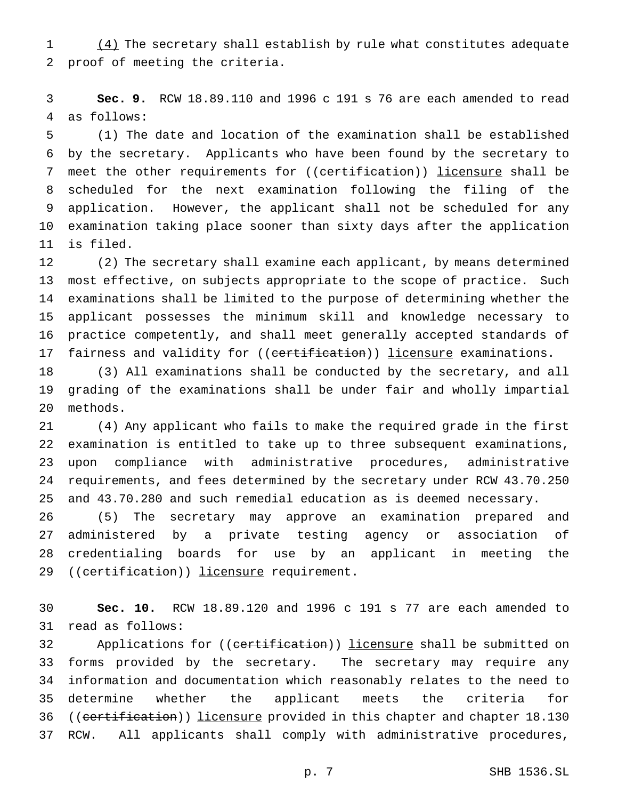(4) The secretary shall establish by rule what constitutes adequate proof of meeting the criteria.

 **Sec. 9.** RCW 18.89.110 and 1996 c 191 s 76 are each amended to read as follows:

 (1) The date and location of the examination shall be established by the secretary. Applicants who have been found by the secretary to 7 meet the other requirements for ((certification)) licensure shall be scheduled for the next examination following the filing of the application. However, the applicant shall not be scheduled for any examination taking place sooner than sixty days after the application is filed.

 (2) The secretary shall examine each applicant, by means determined most effective, on subjects appropriate to the scope of practice. Such examinations shall be limited to the purpose of determining whether the applicant possesses the minimum skill and knowledge necessary to practice competently, and shall meet generally accepted standards of 17 fairness and validity for ((certification)) licensure examinations.

 (3) All examinations shall be conducted by the secretary, and all grading of the examinations shall be under fair and wholly impartial methods.

 (4) Any applicant who fails to make the required grade in the first examination is entitled to take up to three subsequent examinations, upon compliance with administrative procedures, administrative requirements, and fees determined by the secretary under RCW 43.70.250 and 43.70.280 and such remedial education as is deemed necessary.

 (5) The secretary may approve an examination prepared and administered by a private testing agency or association of credentialing boards for use by an applicant in meeting the 29 ((certification)) licensure requirement.

 **Sec. 10.** RCW 18.89.120 and 1996 c 191 s 77 are each amended to read as follows:

32 Applications for ((certification)) licensure shall be submitted on forms provided by the secretary. The secretary may require any information and documentation which reasonably relates to the need to determine whether the applicant meets the criteria for 36 ((certification)) licensure provided in this chapter and chapter 18.130 RCW. All applicants shall comply with administrative procedures,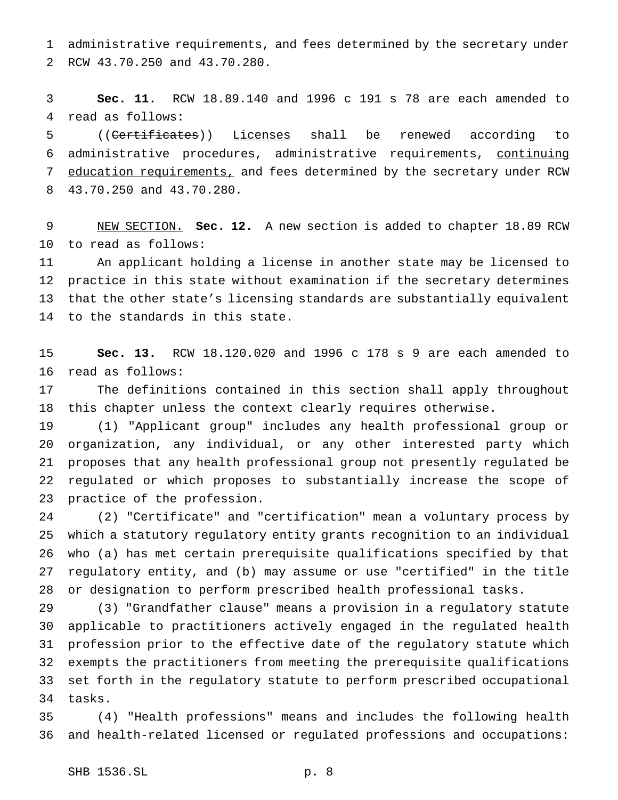administrative requirements, and fees determined by the secretary under RCW 43.70.250 and 43.70.280.

 **Sec. 11.** RCW 18.89.140 and 1996 c 191 s 78 are each amended to read as follows:

 ((Certificates)) Licenses shall be renewed according to administrative procedures, administrative requirements, continuing 7 education requirements, and fees determined by the secretary under RCW 43.70.250 and 43.70.280.

 NEW SECTION. **Sec. 12.** A new section is added to chapter 18.89 RCW to read as follows:

 An applicant holding a license in another state may be licensed to practice in this state without examination if the secretary determines that the other state's licensing standards are substantially equivalent to the standards in this state.

 **Sec. 13.** RCW 18.120.020 and 1996 c 178 s 9 are each amended to read as follows:

 The definitions contained in this section shall apply throughout this chapter unless the context clearly requires otherwise.

 (1) "Applicant group" includes any health professional group or organization, any individual, or any other interested party which proposes that any health professional group not presently regulated be regulated or which proposes to substantially increase the scope of practice of the profession.

 (2) "Certificate" and "certification" mean a voluntary process by which a statutory regulatory entity grants recognition to an individual who (a) has met certain prerequisite qualifications specified by that regulatory entity, and (b) may assume or use "certified" in the title or designation to perform prescribed health professional tasks.

 (3) "Grandfather clause" means a provision in a regulatory statute applicable to practitioners actively engaged in the regulated health profession prior to the effective date of the regulatory statute which exempts the practitioners from meeting the prerequisite qualifications set forth in the regulatory statute to perform prescribed occupational tasks.

 (4) "Health professions" means and includes the following health and health-related licensed or regulated professions and occupations: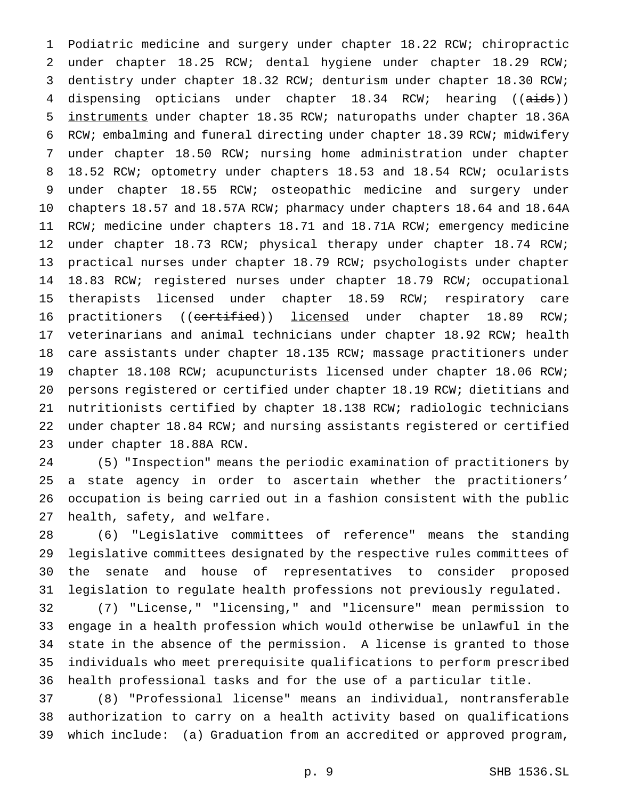Podiatric medicine and surgery under chapter 18.22 RCW; chiropractic under chapter 18.25 RCW; dental hygiene under chapter 18.29 RCW; dentistry under chapter 18.32 RCW; denturism under chapter 18.30 RCW; 4 dispensing opticians under chapter 18.34 RCW; hearing ((aids)) instruments under chapter 18.35 RCW; naturopaths under chapter 18.36A RCW; embalming and funeral directing under chapter 18.39 RCW; midwifery under chapter 18.50 RCW; nursing home administration under chapter 18.52 RCW; optometry under chapters 18.53 and 18.54 RCW; ocularists under chapter 18.55 RCW; osteopathic medicine and surgery under chapters 18.57 and 18.57A RCW; pharmacy under chapters 18.64 and 18.64A RCW; medicine under chapters 18.71 and 18.71A RCW; emergency medicine under chapter 18.73 RCW; physical therapy under chapter 18.74 RCW; practical nurses under chapter 18.79 RCW; psychologists under chapter 18.83 RCW; registered nurses under chapter 18.79 RCW; occupational therapists licensed under chapter 18.59 RCW; respiratory care 16 practitioners ((certified)) licensed under chapter 18.89 RCW; veterinarians and animal technicians under chapter 18.92 RCW; health care assistants under chapter 18.135 RCW; massage practitioners under chapter 18.108 RCW; acupuncturists licensed under chapter 18.06 RCW; persons registered or certified under chapter 18.19 RCW; dietitians and nutritionists certified by chapter 18.138 RCW; radiologic technicians under chapter 18.84 RCW; and nursing assistants registered or certified under chapter 18.88A RCW.

 (5) "Inspection" means the periodic examination of practitioners by a state agency in order to ascertain whether the practitioners' occupation is being carried out in a fashion consistent with the public health, safety, and welfare.

 (6) "Legislative committees of reference" means the standing legislative committees designated by the respective rules committees of the senate and house of representatives to consider proposed legislation to regulate health professions not previously regulated.

 (7) "License," "licensing," and "licensure" mean permission to engage in a health profession which would otherwise be unlawful in the state in the absence of the permission. A license is granted to those individuals who meet prerequisite qualifications to perform prescribed health professional tasks and for the use of a particular title.

 (8) "Professional license" means an individual, nontransferable authorization to carry on a health activity based on qualifications which include: (a) Graduation from an accredited or approved program,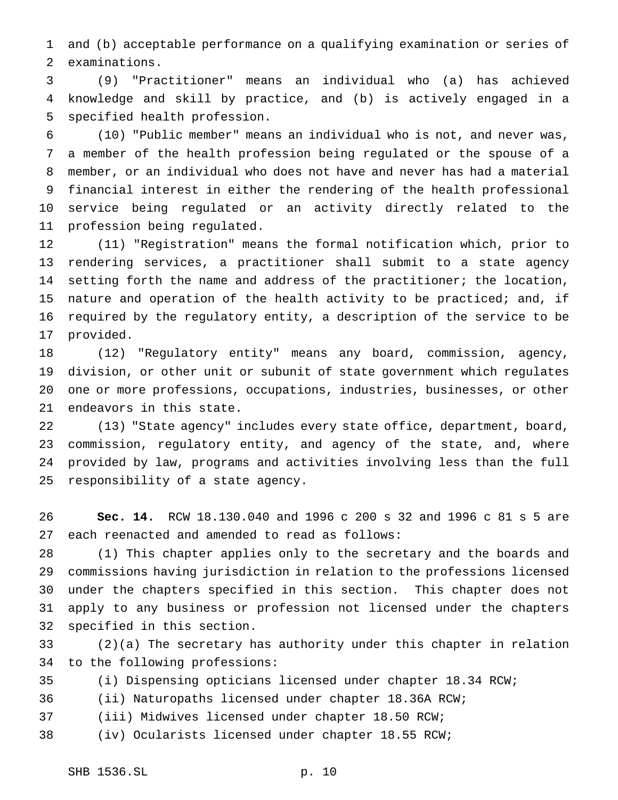and (b) acceptable performance on a qualifying examination or series of examinations.

 (9) "Practitioner" means an individual who (a) has achieved knowledge and skill by practice, and (b) is actively engaged in a specified health profession.

 (10) "Public member" means an individual who is not, and never was, a member of the health profession being regulated or the spouse of a member, or an individual who does not have and never has had a material financial interest in either the rendering of the health professional service being regulated or an activity directly related to the profession being regulated.

 (11) "Registration" means the formal notification which, prior to rendering services, a practitioner shall submit to a state agency setting forth the name and address of the practitioner; the location, nature and operation of the health activity to be practiced; and, if required by the regulatory entity, a description of the service to be provided.

 (12) "Regulatory entity" means any board, commission, agency, division, or other unit or subunit of state government which regulates one or more professions, occupations, industries, businesses, or other endeavors in this state.

 (13) "State agency" includes every state office, department, board, commission, regulatory entity, and agency of the state, and, where provided by law, programs and activities involving less than the full responsibility of a state agency.

 **Sec. 14.** RCW 18.130.040 and 1996 c 200 s 32 and 1996 c 81 s 5 are each reenacted and amended to read as follows:

 (1) This chapter applies only to the secretary and the boards and commissions having jurisdiction in relation to the professions licensed under the chapters specified in this section. This chapter does not apply to any business or profession not licensed under the chapters specified in this section.

 (2)(a) The secretary has authority under this chapter in relation to the following professions:

(i) Dispensing opticians licensed under chapter 18.34 RCW;

(ii) Naturopaths licensed under chapter 18.36A RCW;

(iii) Midwives licensed under chapter 18.50 RCW;

(iv) Ocularists licensed under chapter 18.55 RCW;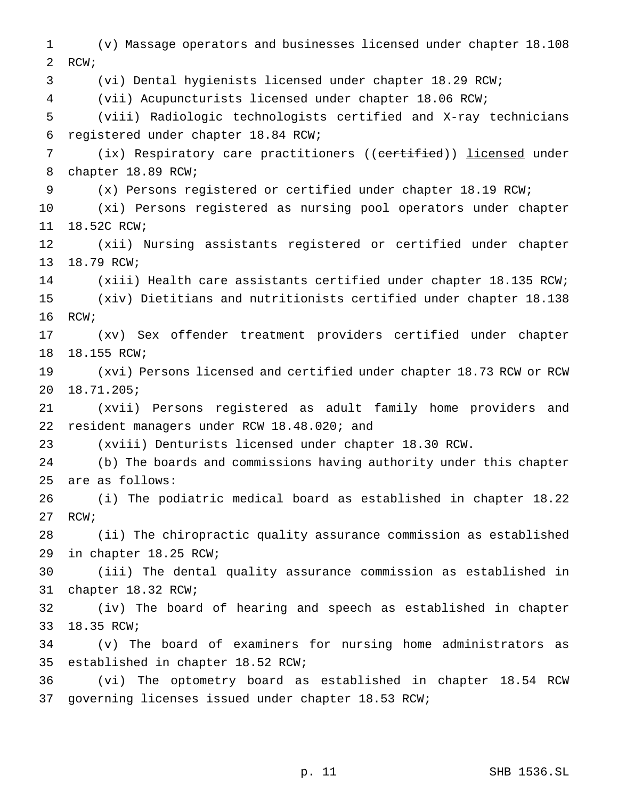(v) Massage operators and businesses licensed under chapter 18.108 RCW; (vi) Dental hygienists licensed under chapter 18.29 RCW; (vii) Acupuncturists licensed under chapter 18.06 RCW; (viii) Radiologic technologists certified and X-ray technicians registered under chapter 18.84 RCW; 7 (ix) Respiratory care practitioners ((certified)) licensed under chapter 18.89 RCW; (x) Persons registered or certified under chapter 18.19 RCW; (xi) Persons registered as nursing pool operators under chapter 18.52C RCW; (xii) Nursing assistants registered or certified under chapter 18.79 RCW; (xiii) Health care assistants certified under chapter 18.135 RCW; (xiv) Dietitians and nutritionists certified under chapter 18.138 RCW; (xv) Sex offender treatment providers certified under chapter 18.155 RCW; (xvi) Persons licensed and certified under chapter 18.73 RCW or RCW 18.71.205; (xvii) Persons registered as adult family home providers and resident managers under RCW 18.48.020; and (xviii) Denturists licensed under chapter 18.30 RCW. (b) The boards and commissions having authority under this chapter are as follows: (i) The podiatric medical board as established in chapter 18.22 RCW; (ii) The chiropractic quality assurance commission as established in chapter 18.25 RCW; (iii) The dental quality assurance commission as established in chapter 18.32 RCW; (iv) The board of hearing and speech as established in chapter 18.35 RCW; (v) The board of examiners for nursing home administrators as established in chapter 18.52 RCW; (vi) The optometry board as established in chapter 18.54 RCW governing licenses issued under chapter 18.53 RCW;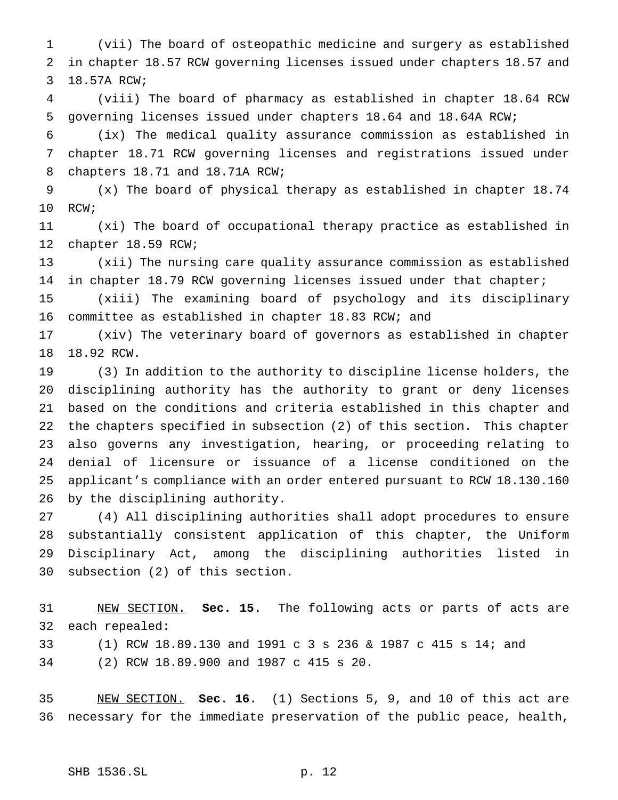(vii) The board of osteopathic medicine and surgery as established in chapter 18.57 RCW governing licenses issued under chapters 18.57 and 18.57A RCW;

 (viii) The board of pharmacy as established in chapter 18.64 RCW governing licenses issued under chapters 18.64 and 18.64A RCW;

 (ix) The medical quality assurance commission as established in chapter 18.71 RCW governing licenses and registrations issued under chapters 18.71 and 18.71A RCW;

 (x) The board of physical therapy as established in chapter 18.74 RCW;

 (xi) The board of occupational therapy practice as established in chapter 18.59 RCW;

 (xii) The nursing care quality assurance commission as established in chapter 18.79 RCW governing licenses issued under that chapter;

 (xiii) The examining board of psychology and its disciplinary committee as established in chapter 18.83 RCW; and

 (xiv) The veterinary board of governors as established in chapter 18.92 RCW.

 (3) In addition to the authority to discipline license holders, the disciplining authority has the authority to grant or deny licenses based on the conditions and criteria established in this chapter and the chapters specified in subsection (2) of this section. This chapter also governs any investigation, hearing, or proceeding relating to denial of licensure or issuance of a license conditioned on the applicant's compliance with an order entered pursuant to RCW 18.130.160 by the disciplining authority.

 (4) All disciplining authorities shall adopt procedures to ensure substantially consistent application of this chapter, the Uniform Disciplinary Act, among the disciplining authorities listed in subsection (2) of this section.

 NEW SECTION. **Sec. 15.** The following acts or parts of acts are each repealed: (1) RCW 18.89.130 and 1991 c 3 s 236 & 1987 c 415 s 14; and (2) RCW 18.89.900 and 1987 c 415 s 20.

 NEW SECTION. **Sec. 16.** (1) Sections 5, 9, and 10 of this act are necessary for the immediate preservation of the public peace, health,